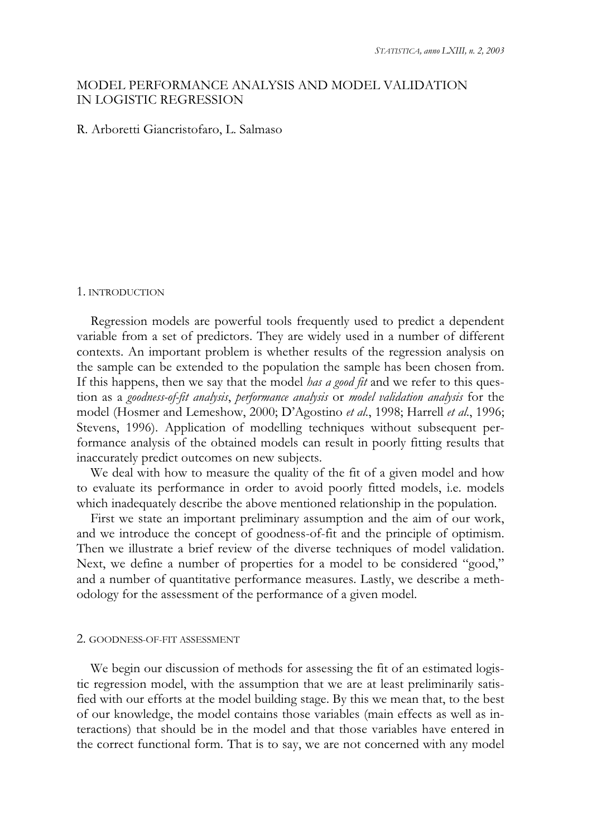# MODEL PERFORMANCE ANALYSIS AND MODEL VALIDATION IN LOGISTIC REGRESSION

# R. Arboretti Giancristofaro, L. Salmaso

#### 1. INTRODUCTION

Regression models are powerful tools frequently used to predict a dependent variable from a set of predictors. They are widely used in a number of different contexts. An important problem is whether results of the regression analysis on the sample can be extended to the population the sample has been chosen from. If this happens, then we say that the model *has a good fit* and we refer to this question as a *goodness-of-fit analysis*, *performance analysis* or *model validation analysis* for the model (Hosmer and Lemeshow, 2000; D'Agostino *et al*., 1998; Harrell *et al*., 1996; Stevens, 1996). Application of modelling techniques without subsequent performance analysis of the obtained models can result in poorly fitting results that inaccurately predict outcomes on new subjects.

We deal with how to measure the quality of the fit of a given model and how to evaluate its performance in order to avoid poorly fitted models, i.e. models which inadequately describe the above mentioned relationship in the population.

First we state an important preliminary assumption and the aim of our work, and we introduce the concept of goodness-of-fit and the principle of optimism. Then we illustrate a brief review of the diverse techniques of model validation. Next, we define a number of properties for a model to be considered "good," and a number of quantitative performance measures. Lastly, we describe a methodology for the assessment of the performance of a given model.

#### 2. GOODNESS-OF-FIT ASSESSMENT

We begin our discussion of methods for assessing the fit of an estimated logistic regression model, with the assumption that we are at least preliminarily satisfied with our efforts at the model building stage. By this we mean that, to the best of our knowledge, the model contains those variables (main effects as well as interactions) that should be in the model and that those variables have entered in the correct functional form. That is to say, we are not concerned with any model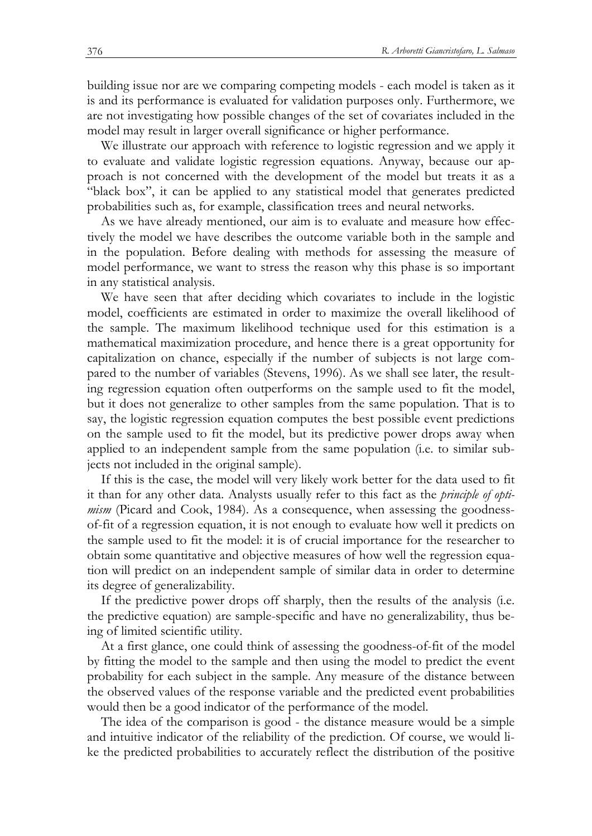building issue nor are we comparing competing models - each model is taken as it is and its performance is evaluated for validation purposes only. Furthermore, we are not investigating how possible changes of the set of covariates included in the model may result in larger overall significance or higher performance.

We illustrate our approach with reference to logistic regression and we apply it to evaluate and validate logistic regression equations. Anyway, because our approach is not concerned with the development of the model but treats it as a "black box", it can be applied to any statistical model that generates predicted probabilities such as, for example, classification trees and neural networks.

As we have already mentioned, our aim is to evaluate and measure how effectively the model we have describes the outcome variable both in the sample and in the population. Before dealing with methods for assessing the measure of model performance, we want to stress the reason why this phase is so important in any statistical analysis.

We have seen that after deciding which covariates to include in the logistic model, coefficients are estimated in order to maximize the overall likelihood of the sample. The maximum likelihood technique used for this estimation is a mathematical maximization procedure, and hence there is a great opportunity for capitalization on chance, especially if the number of subjects is not large compared to the number of variables (Stevens, 1996). As we shall see later, the resulting regression equation often outperforms on the sample used to fit the model, but it does not generalize to other samples from the same population. That is to say, the logistic regression equation computes the best possible event predictions on the sample used to fit the model, but its predictive power drops away when applied to an independent sample from the same population (i.e. to similar subjects not included in the original sample).

If this is the case, the model will very likely work better for the data used to fit it than for any other data. Analysts usually refer to this fact as the *principle of optimism* (Picard and Cook, 1984). As a consequence, when assessing the goodnessof-fit of a regression equation, it is not enough to evaluate how well it predicts on the sample used to fit the model: it is of crucial importance for the researcher to obtain some quantitative and objective measures of how well the regression equation will predict on an independent sample of similar data in order to determine its degree of generalizability.

If the predictive power drops off sharply, then the results of the analysis (i.e. the predictive equation) are sample-specific and have no generalizability, thus being of limited scientific utility.

At a first glance, one could think of assessing the goodness-of-fit of the model by fitting the model to the sample and then using the model to predict the event probability for each subject in the sample. Any measure of the distance between the observed values of the response variable and the predicted event probabilities would then be a good indicator of the performance of the model.

The idea of the comparison is good - the distance measure would be a simple and intuitive indicator of the reliability of the prediction. Of course, we would like the predicted probabilities to accurately reflect the distribution of the positive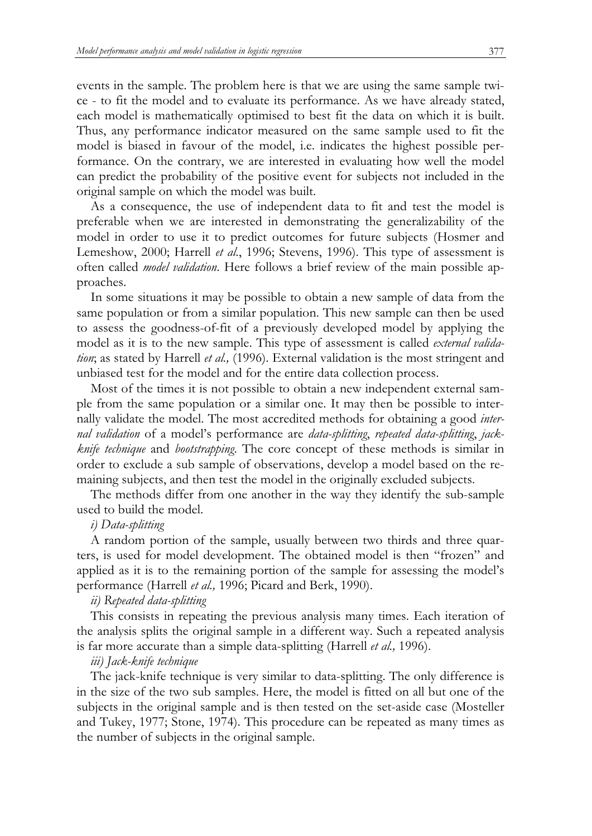events in the sample. The problem here is that we are using the same sample twice - to fit the model and to evaluate its performance. As we have already stated, each model is mathematically optimised to best fit the data on which it is built. Thus, any performance indicator measured on the same sample used to fit the model is biased in favour of the model, i.e. indicates the highest possible performance. On the contrary, we are interested in evaluating how well the model can predict the probability of the positive event for subjects not included in the original sample on which the model was built.

As a consequence, the use of independent data to fit and test the model is preferable when we are interested in demonstrating the generalizability of the model in order to use it to predict outcomes for future subjects (Hosmer and Lemeshow, 2000; Harrell *et al*., 1996; Stevens, 1996). This type of assessment is often called *model validation*. Here follows a brief review of the main possible approaches.

In some situations it may be possible to obtain a new sample of data from the same population or from a similar population. This new sample can then be used to assess the goodness-of-fit of a previously developed model by applying the model as it is to the new sample. This type of assessment is called *external validation*; as stated by Harrell *et al.,* (1996). External validation is the most stringent and unbiased test for the model and for the entire data collection process.

Most of the times it is not possible to obtain a new independent external sample from the same population or a similar one. It may then be possible to internally validate the model. The most accredited methods for obtaining a good *internal validation* of a model's performance are *data-splitting*, *repeated data-splitting*, *jackknife technique* and *bootstrapping*. The core concept of these methods is similar in order to exclude a sub sample of observations, develop a model based on the remaining subjects, and then test the model in the originally excluded subjects.

The methods differ from one another in the way they identify the sub-sample used to build the model.

# *i) Data-splitting*

A random portion of the sample, usually between two thirds and three quarters, is used for model development. The obtained model is then "frozen" and applied as it is to the remaining portion of the sample for assessing the model's performance (Harrell *et al.,* 1996; Picard and Berk, 1990).

# *ii) Repeated data-splitting*

This consists in repeating the previous analysis many times. Each iteration of the analysis splits the original sample in a different way. Such a repeated analysis is far more accurate than a simple data-splitting (Harrell *et al.,* 1996).

### *iii) Jack-knife technique*

The jack-knife technique is very similar to data-splitting. The only difference is in the size of the two sub samples. Here, the model is fitted on all but one of the subjects in the original sample and is then tested on the set-aside case (Mosteller and Tukey, 1977; Stone, 1974). This procedure can be repeated as many times as the number of subjects in the original sample.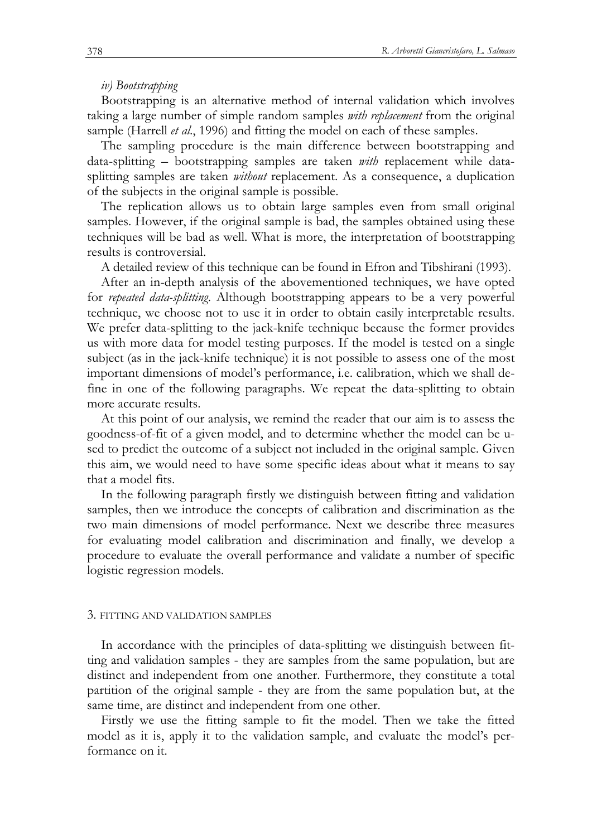#### *iv) Bootstrapping*

Bootstrapping is an alternative method of internal validation which involves taking a large number of simple random samples *with replacement* from the original sample (Harrell *et al*., 1996) and fitting the model on each of these samples.

The sampling procedure is the main difference between bootstrapping and data-splitting – bootstrapping samples are taken *with* replacement while datasplitting samples are taken *without* replacement. As a consequence, a duplication of the subjects in the original sample is possible.

The replication allows us to obtain large samples even from small original samples. However, if the original sample is bad, the samples obtained using these techniques will be bad as well. What is more, the interpretation of bootstrapping results is controversial.

A detailed review of this technique can be found in Efron and Tibshirani (1993).

After an in-depth analysis of the abovementioned techniques, we have opted for *repeated data-splitting*. Although bootstrapping appears to be a very powerful technique, we choose not to use it in order to obtain easily interpretable results. We prefer data-splitting to the jack-knife technique because the former provides us with more data for model testing purposes. If the model is tested on a single subject (as in the jack-knife technique) it is not possible to assess one of the most important dimensions of model's performance, i.e. calibration, which we shall define in one of the following paragraphs. We repeat the data-splitting to obtain more accurate results.

At this point of our analysis, we remind the reader that our aim is to assess the goodness-of-fit of a given model, and to determine whether the model can be used to predict the outcome of a subject not included in the original sample. Given this aim, we would need to have some specific ideas about what it means to say that a model fits.

In the following paragraph firstly we distinguish between fitting and validation samples, then we introduce the concepts of calibration and discrimination as the two main dimensions of model performance. Next we describe three measures for evaluating model calibration and discrimination and finally, we develop a procedure to evaluate the overall performance and validate a number of specific logistic regression models.

#### 3. FITTING AND VALIDATION SAMPLES

In accordance with the principles of data-splitting we distinguish between fitting and validation samples - they are samples from the same population, but are distinct and independent from one another. Furthermore, they constitute a total partition of the original sample - they are from the same population but, at the same time, are distinct and independent from one other.

Firstly we use the fitting sample to fit the model. Then we take the fitted model as it is, apply it to the validation sample, and evaluate the model's performance on it.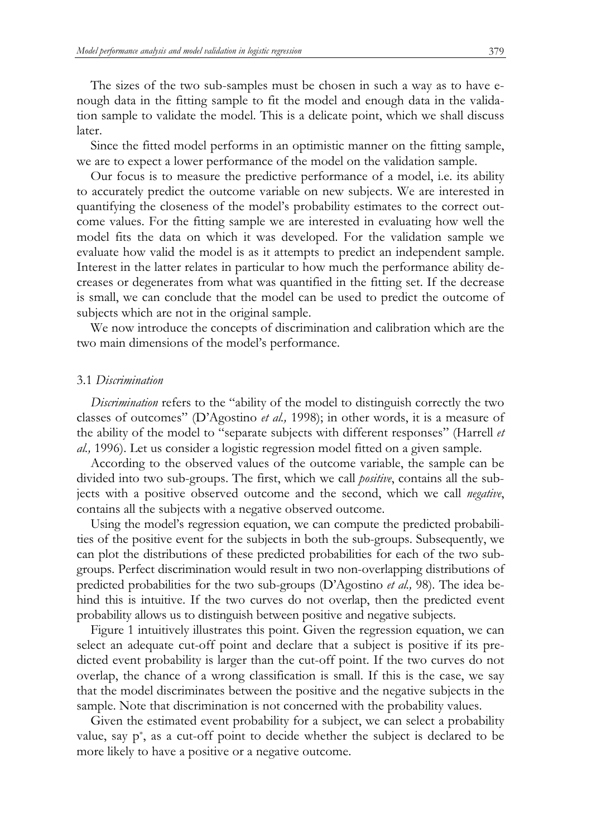The sizes of the two sub-samples must be chosen in such a way as to have enough data in the fitting sample to fit the model and enough data in the validation sample to validate the model. This is a delicate point, which we shall discuss later.

Since the fitted model performs in an optimistic manner on the fitting sample, we are to expect a lower performance of the model on the validation sample.

Our focus is to measure the predictive performance of a model, i.e. its ability to accurately predict the outcome variable on new subjects. We are interested in quantifying the closeness of the model's probability estimates to the correct outcome values. For the fitting sample we are interested in evaluating how well the model fits the data on which it was developed. For the validation sample we evaluate how valid the model is as it attempts to predict an independent sample. Interest in the latter relates in particular to how much the performance ability decreases or degenerates from what was quantified in the fitting set. If the decrease is small, we can conclude that the model can be used to predict the outcome of subjects which are not in the original sample.

We now introduce the concepts of discrimination and calibration which are the two main dimensions of the model's performance.

#### 3.1 *Discrimination*

*Discrimination* refers to the "ability of the model to distinguish correctly the two classes of outcomes" (D'Agostino *et al.,* 1998); in other words, it is a measure of the ability of the model to "separate subjects with different responses" (Harrell *et al.,* 1996). Let us consider a logistic regression model fitted on a given sample.

According to the observed values of the outcome variable, the sample can be divided into two sub-groups. The first, which we call *positive*, contains all the subjects with a positive observed outcome and the second, which we call *negative*, contains all the subjects with a negative observed outcome.

Using the model's regression equation, we can compute the predicted probabilities of the positive event for the subjects in both the sub-groups. Subsequently, we can plot the distributions of these predicted probabilities for each of the two subgroups. Perfect discrimination would result in two non-overlapping distributions of predicted probabilities for the two sub-groups (D'Agostino *et al.,* 98). The idea behind this is intuitive. If the two curves do not overlap, then the predicted event probability allows us to distinguish between positive and negative subjects.

Figure 1 intuitively illustrates this point. Given the regression equation, we can select an adequate cut-off point and declare that a subject is positive if its predicted event probability is larger than the cut-off point. If the two curves do not overlap, the chance of a wrong classification is small. If this is the case, we say that the model discriminates between the positive and the negative subjects in the sample. Note that discrimination is not concerned with the probability values.

Given the estimated event probability for a subject, we can select a probability value, say p\* , as a cut-off point to decide whether the subject is declared to be more likely to have a positive or a negative outcome.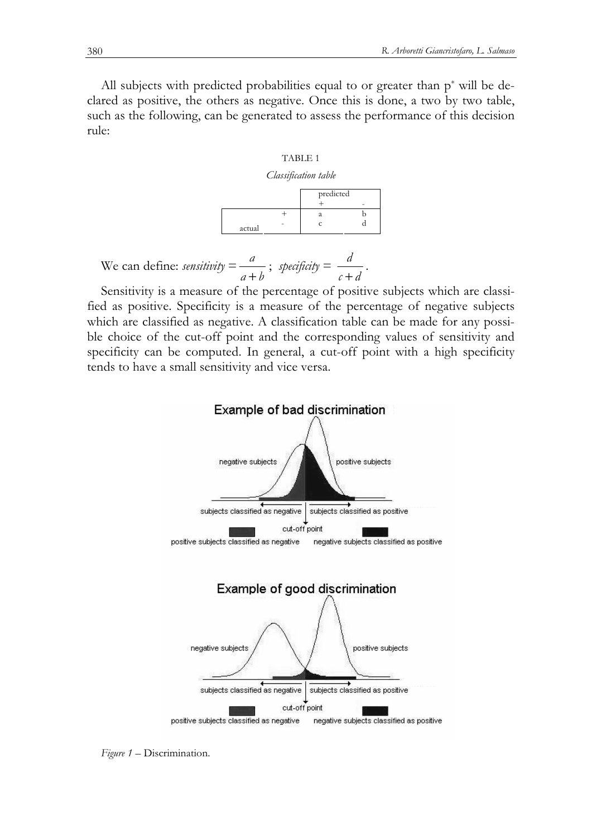All subjects with predicted probabilities equal to or greater than p\* will be declared as positive, the others as negative. Once this is done, a two by two table, such as the following, can be generated to assess the performance of this decision rule:

#### TABLE 1

#### *Classification table*

|        | predicted |  |
|--------|-----------|--|
| actual |           |  |

We can define: *sensitivity* = 
$$
\frac{a}{a+b}
$$
; *specificity* =  $\frac{d}{c+d}$ .

Sensitivity is a measure of the percentage of positive subjects which are classified as positive. Specificity is a measure of the percentage of negative subjects which are classified as negative. A classification table can be made for any possible choice of the cut-off point and the corresponding values of sensitivity and specificity can be computed. In general, a cut-off point with a high specificity tends to have a small sensitivity and vice versa.



*Figure 1 –* Discrimination.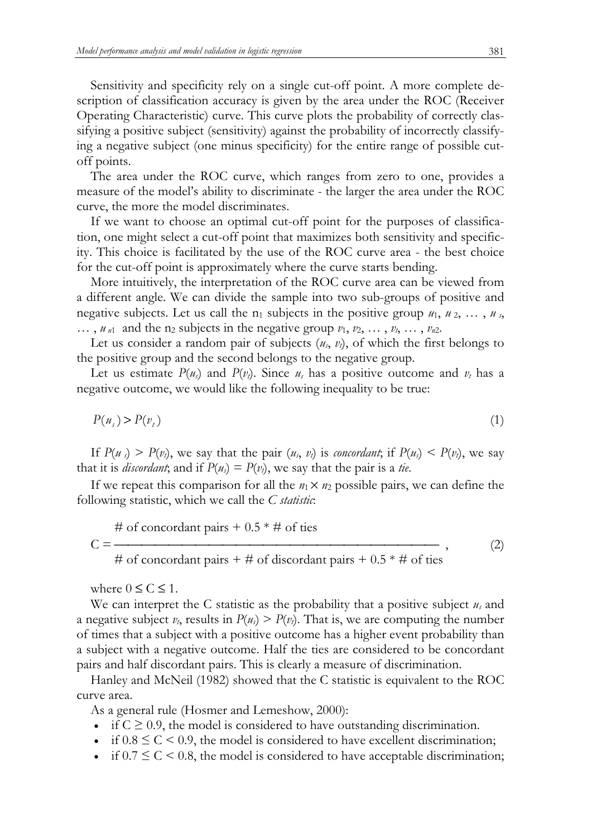Sensitivity and specificity rely on a single cut-off point. A more complete description of classification accuracy is given by the area under the ROC (Receiver Operating Characteristic) curve. This curve plots the probability of correctly classifying a positive subject (sensitivity) against the probability of incorrectly classifying a negative subject (one minus specificity) for the entire range of possible cutoff points.

The area under the ROC curve, which ranges from zero to one, provides a measure of the model's ability to discriminate - the larger the area under the ROC curve, the more the model discriminates.

If we want to choose an optimal cut-off point for the purposes of classification, one might select a cut-off point that maximizes both sensitivity and specificity. This choice is facilitated by the use of the ROC curve area - the best choice for the cut-off point is approximately where the curve starts bending.

More intuitively, the interpretation of the ROC curve area can be viewed from a different angle. We can divide the sample into two sub-groups of positive and negative subjects. Let us call the  $n_1$  subjects in the positive group  $u_1, u_2, \ldots, u_s$  $\ldots$ ,  $u_{n1}$  and the n<sub>2</sub> subjects in the negative group  $v_1, v_2, \ldots, v_t, \ldots, v_{n2}$ .

Let us consider a random pair of subjects  $(u_s, v_t)$ , of which the first belongs to the positive group and the second belongs to the negative group.

Let us estimate  $P(u_s)$  and  $P(v_t)$ . Since  $u_s$  has a positive outcome and  $v_t$  has a negative outcome, we would like the following inequality to be true:

$$
P(u_s) > P(v_t) \tag{1}
$$

If  $P(u_s) > P(v_t)$ , we say that the pair  $(u_s, v_t)$  is *concordant*; if  $P(u_s) < P(v_t)$ , we say that it is *discordant*; and if  $P(u_s) = P(v_t)$ , we say that the pair is a *tie*.

If we repeat this comparison for all the  $n_1 \times n_2$  possible pairs, we can define the following statistic, which we call the *C statistic*:

$$
\begin{array}{l}\n\text{# of concordant pairs} + 0.5 * \text{# of ties} \\
\text{C} = \text{---} \\
\text{# of concordant pairs} + \text{# of discordant pairs} + 0.5 * \text{# of ties}\n\end{array}\n\tag{2}
$$

where  $0 \leq C \leq 1$ .

We can interpret the C statistic as the probability that a positive subject *us* and a negative subject  $v_t$ , results in  $P(u_s) > P(v_t)$ . That is, we are computing the number of times that a subject with a positive outcome has a higher event probability than a subject with a negative outcome. Half the ties are considered to be concordant pairs and half discordant pairs. This is clearly a measure of discrimination.

Hanley and McNeil (1982) showed that the C statistic is equivalent to the ROC curve area.

As a general rule (Hosmer and Lemeshow, 2000):

- if  $C \geq 0.9$ , the model is considered to have outstanding discrimination.
- if  $0.8 \leq C \leq 0.9$ , the model is considered to have excellent discrimination;
- if  $0.7 \leq C \leq 0.8$ , the model is considered to have acceptable discrimination;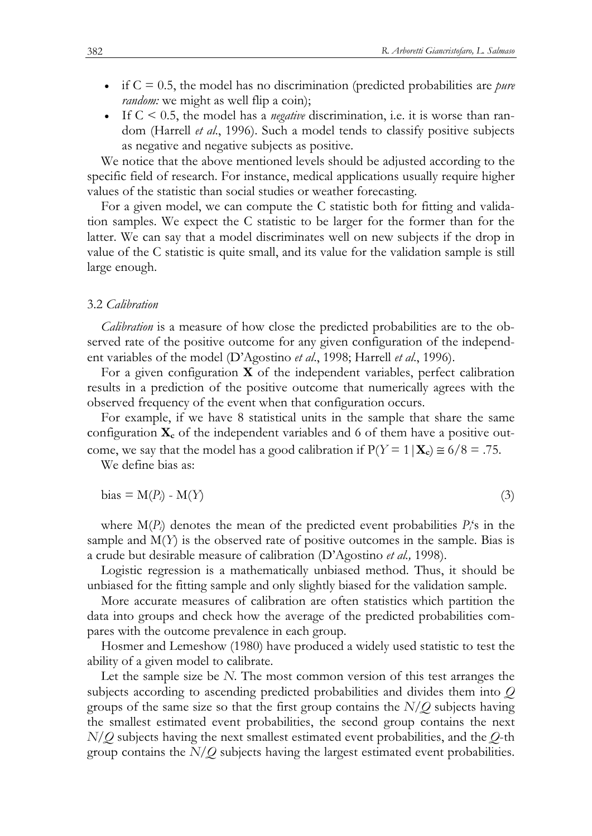- if C = 0.5, the model has no discrimination (predicted probabilities are *pure random*: we might as well flip a coin);
- If C < 0.5, the model has a *negative* discrimination, i.e. it is worse than random (Harrell *et al*., 1996). Such a model tends to classify positive subjects as negative and negative subjects as positive.

We notice that the above mentioned levels should be adjusted according to the specific field of research. For instance, medical applications usually require higher values of the statistic than social studies or weather forecasting.

For a given model, we can compute the C statistic both for fitting and validation samples. We expect the C statistic to be larger for the former than for the latter. We can say that a model discriminates well on new subjects if the drop in value of the C statistic is quite small, and its value for the validation sample is still large enough.

#### 3.2 *Calibration*

*Calibration* is a measure of how close the predicted probabilities are to the observed rate of the positive outcome for any given configuration of the independent variables of the model (D'Agostino *et al*., 1998; Harrell *et al*., 1996).

For a given configuration **X** of the independent variables, perfect calibration results in a prediction of the positive outcome that numerically agrees with the observed frequency of the event when that configuration occurs.

For example, if we have 8 statistical units in the sample that share the same configuration **X<sup>c</sup>** of the independent variables and 6 of them have a positive outcome, we say that the model has a good calibration if  $P(Y = 1 | \mathbf{X}_c) \approx 6/8 = .75$ .

We define bias as:

$$
bias = M(P_i) - M(Y) \tag{3}
$$

where  $M(P_i)$  denotes the mean of the predicted event probabilities  $P_i$ 's in the sample and  $M(Y)$  is the observed rate of positive outcomes in the sample. Bias is a crude but desirable measure of calibration (D'Agostino *et al.,* 1998).

Logistic regression is a mathematically unbiased method. Thus, it should be unbiased for the fitting sample and only slightly biased for the validation sample.

More accurate measures of calibration are often statistics which partition the data into groups and check how the average of the predicted probabilities compares with the outcome prevalence in each group.

Hosmer and Lemeshow (1980) have produced a widely used statistic to test the ability of a given model to calibrate.

Let the sample size be *N*. The most common version of this test arranges the subjects according to ascending predicted probabilities and divides them into *Q* groups of the same size so that the first group contains the *N*/*Q* subjects having the smallest estimated event probabilities, the second group contains the next *N*/*Q* subjects having the next smallest estimated event probabilities, and the *Q*-th group contains the *N*/*Q* subjects having the largest estimated event probabilities.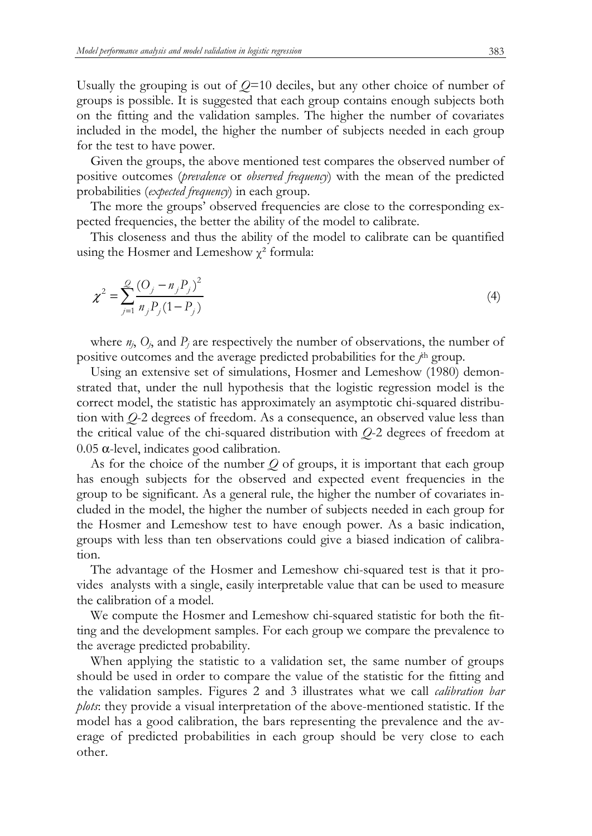Usually the grouping is out of *Q*=10 deciles, but any other choice of number of groups is possible. It is suggested that each group contains enough subjects both on the fitting and the validation samples. The higher the number of covariates included in the model, the higher the number of subjects needed in each group for the test to have power.

Given the groups, the above mentioned test compares the observed number of positive outcomes (*prevalence* or *observed frequency*) with the mean of the predicted probabilities (*expected frequency*) in each group.

The more the groups' observed frequencies are close to the corresponding expected frequencies, the better the ability of the model to calibrate.

This closeness and thus the ability of the model to calibrate can be quantified using the Hosmer and Lemeshow  $\chi^2$  formula:

$$
\chi^2 = \sum_{j=1}^{Q} \frac{(O_j - n_j P_j)^2}{n_j P_j (1 - P_j)}\tag{4}
$$

where  $n_j$ ,  $O_j$ , and  $P_j$  are respectively the number of observations, the number of positive outcomes and the average predicted probabilities for the *j*<sup>th</sup> group.

Using an extensive set of simulations, Hosmer and Lemeshow (1980) demonstrated that, under the null hypothesis that the logistic regression model is the correct model, the statistic has approximately an asymptotic chi-squared distribution with *Q*-2 degrees of freedom. As a consequence, an observed value less than the critical value of the chi-squared distribution with *Q*-2 degrees of freedom at 0.05 α-level, indicates good calibration.

As for the choice of the number *Q* of groups, it is important that each group has enough subjects for the observed and expected event frequencies in the group to be significant. As a general rule, the higher the number of covariates included in the model, the higher the number of subjects needed in each group for the Hosmer and Lemeshow test to have enough power. As a basic indication, groups with less than ten observations could give a biased indication of calibration.

The advantage of the Hosmer and Lemeshow chi-squared test is that it provides analysts with a single, easily interpretable value that can be used to measure the calibration of a model.

We compute the Hosmer and Lemeshow chi-squared statistic for both the fitting and the development samples. For each group we compare the prevalence to the average predicted probability.

When applying the statistic to a validation set, the same number of groups should be used in order to compare the value of the statistic for the fitting and the validation samples. Figures 2 and 3 illustrates what we call *calibration bar plots*: they provide a visual interpretation of the above-mentioned statistic. If the model has a good calibration, the bars representing the prevalence and the average of predicted probabilities in each group should be very close to each other.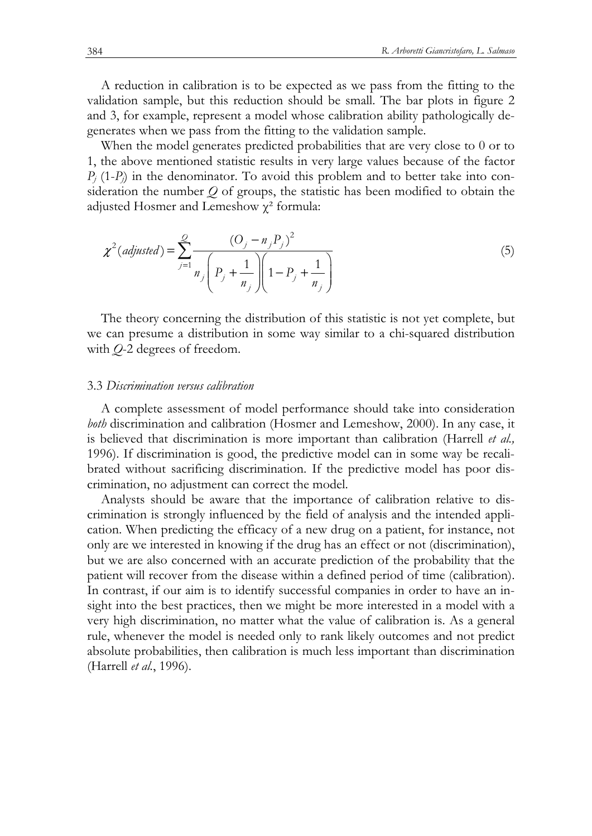A reduction in calibration is to be expected as we pass from the fitting to the validation sample, but this reduction should be small. The bar plots in figure 2 and 3, for example, represent a model whose calibration ability pathologically degenerates when we pass from the fitting to the validation sample.

When the model generates predicted probabilities that are very close to 0 or to 1, the above mentioned statistic results in very large values because of the factor  $P_i$  (1- $P_i$ ) in the denominator. To avoid this problem and to better take into consideration the number *Q* of groups, the statistic has been modified to obtain the adjusted Hosmer and Lemeshow  $\chi^2$  formula:

$$
\chi^2(\text{adjusted}) = \sum_{j=1}^{\mathcal{Q}} \frac{(O_j - n_j P_j)^2}{n_j \left( P_j + \frac{1}{n_j} \right) \left( 1 - P_j + \frac{1}{n_j} \right)}
$$
(5)

The theory concerning the distribution of this statistic is not yet complete, but we can presume a distribution in some way similar to a chi-squared distribution with *Q*-2 degrees of freedom.

### 3.3 *Discrimination versus calibration*

A complete assessment of model performance should take into consideration *both* discrimination and calibration (Hosmer and Lemeshow, 2000). In any case, it is believed that discrimination is more important than calibration (Harrell *et al.,* 1996). If discrimination is good, the predictive model can in some way be recalibrated without sacrificing discrimination. If the predictive model has poor discrimination, no adjustment can correct the model.

Analysts should be aware that the importance of calibration relative to discrimination is strongly influenced by the field of analysis and the intended application. When predicting the efficacy of a new drug on a patient, for instance, not only are we interested in knowing if the drug has an effect or not (discrimination), but we are also concerned with an accurate prediction of the probability that the patient will recover from the disease within a defined period of time (calibration). In contrast, if our aim is to identify successful companies in order to have an insight into the best practices, then we might be more interested in a model with a very high discrimination, no matter what the value of calibration is. As a general rule, whenever the model is needed only to rank likely outcomes and not predict absolute probabilities, then calibration is much less important than discrimination (Harrell *et al.*, 1996).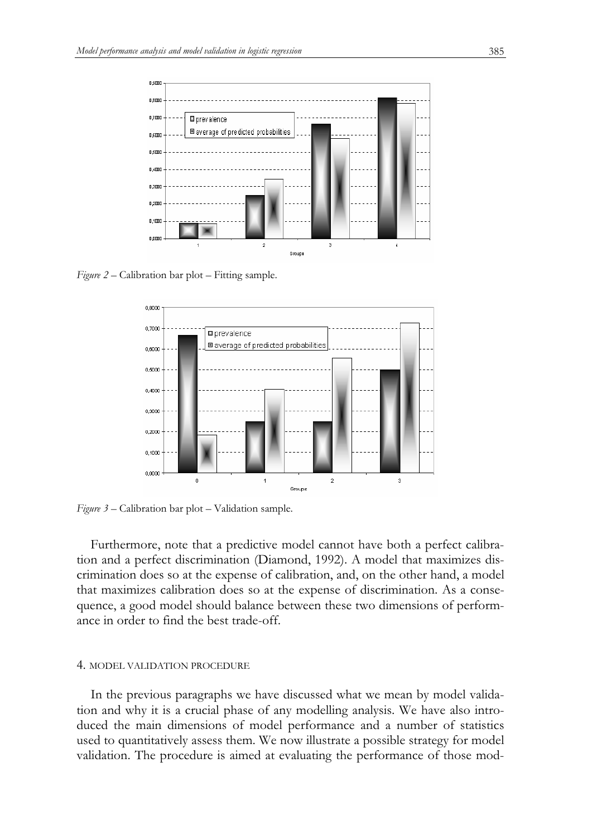

*Figure 2 –* Calibration bar plot – Fitting sample.



*Figure 3* – Calibration bar plot – Validation sample.

Furthermore, note that a predictive model cannot have both a perfect calibration and a perfect discrimination (Diamond, 1992). A model that maximizes discrimination does so at the expense of calibration, and, on the other hand, a model that maximizes calibration does so at the expense of discrimination. As a consequence, a good model should balance between these two dimensions of performance in order to find the best trade-off.

#### 4. MODEL VALIDATION PROCEDURE

In the previous paragraphs we have discussed what we mean by model validation and why it is a crucial phase of any modelling analysis. We have also introduced the main dimensions of model performance and a number of statistics used to quantitatively assess them. We now illustrate a possible strategy for model validation. The procedure is aimed at evaluating the performance of those mod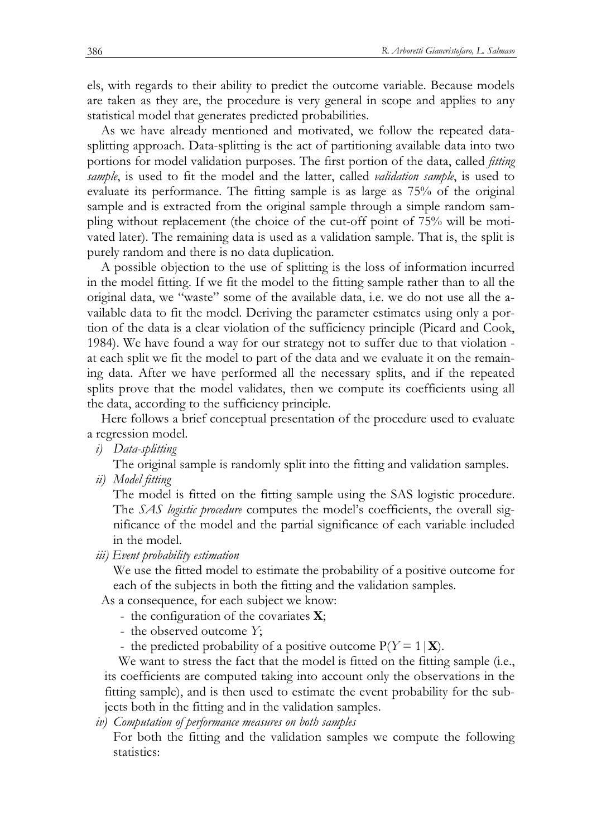els, with regards to their ability to predict the outcome variable. Because models are taken as they are, the procedure is very general in scope and applies to any statistical model that generates predicted probabilities.

As we have already mentioned and motivated, we follow the repeated datasplitting approach. Data-splitting is the act of partitioning available data into two portions for model validation purposes. The first portion of the data, called *fitting sample*, is used to fit the model and the latter, called *validation sample*, is used to evaluate its performance. The fitting sample is as large as 75% of the original sample and is extracted from the original sample through a simple random sampling without replacement (the choice of the cut-off point of 75% will be motivated later). The remaining data is used as a validation sample. That is, the split is purely random and there is no data duplication.

A possible objection to the use of splitting is the loss of information incurred in the model fitting. If we fit the model to the fitting sample rather than to all the original data, we "waste" some of the available data, i.e. we do not use all the available data to fit the model. Deriving the parameter estimates using only a portion of the data is a clear violation of the sufficiency principle (Picard and Cook, 1984). We have found a way for our strategy not to suffer due to that violation at each split we fit the model to part of the data and we evaluate it on the remaining data. After we have performed all the necessary splits, and if the repeated splits prove that the model validates, then we compute its coefficients using all the data, according to the sufficiency principle.

Here follows a brief conceptual presentation of the procedure used to evaluate a regression model.

*i) Data-splitting* 

The original sample is randomly split into the fitting and validation samples.

*ii) Model fitting* 

The model is fitted on the fitting sample using the SAS logistic procedure. The *SAS logistic procedure* computes the model's coefficients, the overall significance of the model and the partial significance of each variable included in the model.

*iii) Event probability estimation* 

We use the fitted model to estimate the probability of a positive outcome for each of the subjects in both the fitting and the validation samples.

As a consequence, for each subject we know:

- the configuration of the covariates **X**;
- the observed outcome *Y*;
- the predicted probability of a positive outcome  $P(Y = 1 | \mathbf{X})$ .

We want to stress the fact that the model is fitted on the fitting sample (i.e., its coefficients are computed taking into account only the observations in the fitting sample), and is then used to estimate the event probability for the subjects both in the fitting and in the validation samples.

*iv) Computation of performance measures on both samples* 

For both the fitting and the validation samples we compute the following statistics: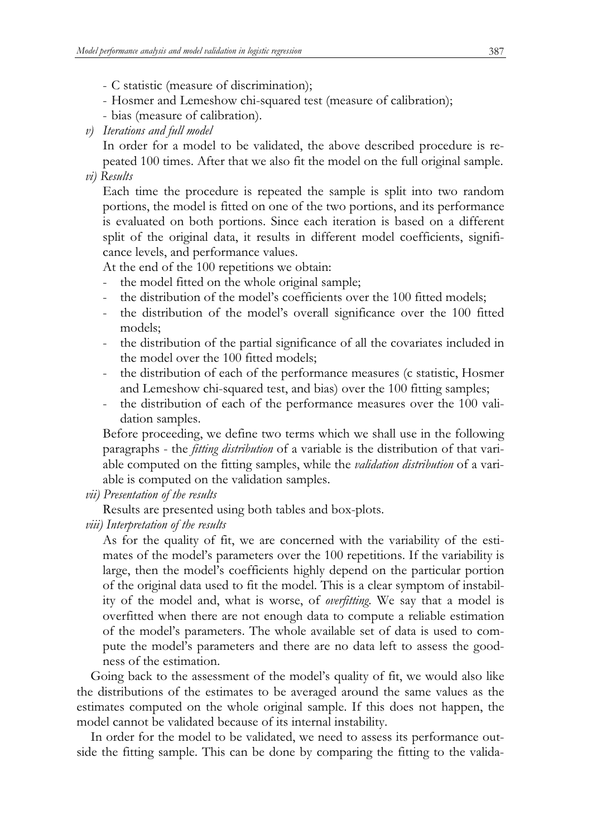- C statistic (measure of discrimination);
- Hosmer and Lemeshow chi-squared test (measure of calibration);
- bias (measure of calibration).
- *v) Iterations and full model*

In order for a model to be validated, the above described procedure is repeated 100 times. After that we also fit the model on the full original sample.

*vi) Results* 

Each time the procedure is repeated the sample is split into two random portions, the model is fitted on one of the two portions, and its performance is evaluated on both portions. Since each iteration is based on a different split of the original data, it results in different model coefficients, significance levels, and performance values.

At the end of the 100 repetitions we obtain:

- the model fitted on the whole original sample;
- the distribution of the model's coefficients over the 100 fitted models;
- the distribution of the model's overall significance over the 100 fitted models;
- the distribution of the partial significance of all the covariates included in the model over the 100 fitted models;
- the distribution of each of the performance measures (c statistic, Hosmer and Lemeshow chi-squared test, and bias) over the 100 fitting samples;
- the distribution of each of the performance measures over the 100 validation samples.

Before proceeding, we define two terms which we shall use in the following paragraphs - the *fitting distribution* of a variable is the distribution of that variable computed on the fitting samples, while the *validation distribution* of a variable is computed on the validation samples.

*vii) Presentation of the results* 

Results are presented using both tables and box-plots.

*viii) Interpretation of the results* 

As for the quality of fit, we are concerned with the variability of the estimates of the model's parameters over the 100 repetitions. If the variability is large, then the model's coefficients highly depend on the particular portion of the original data used to fit the model. This is a clear symptom of instability of the model and, what is worse, of *overfitting*. We say that a model is overfitted when there are not enough data to compute a reliable estimation of the model's parameters. The whole available set of data is used to compute the model's parameters and there are no data left to assess the goodness of the estimation.

Going back to the assessment of the model's quality of fit, we would also like the distributions of the estimates to be averaged around the same values as the estimates computed on the whole original sample. If this does not happen, the model cannot be validated because of its internal instability.

In order for the model to be validated, we need to assess its performance outside the fitting sample. This can be done by comparing the fitting to the valida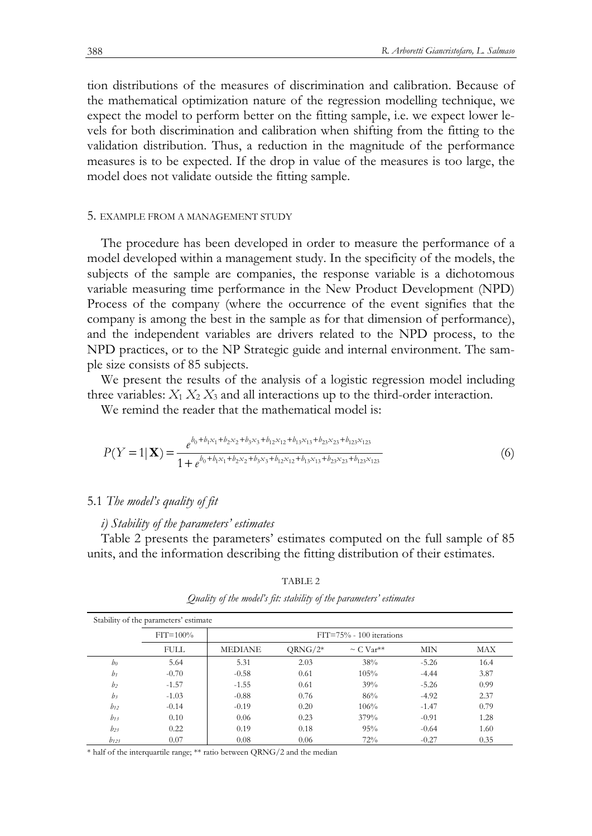tion distributions of the measures of discrimination and calibration. Because of the mathematical optimization nature of the regression modelling technique, we expect the model to perform better on the fitting sample, i.e. we expect lower levels for both discrimination and calibration when shifting from the fitting to the validation distribution. Thus, a reduction in the magnitude of the performance measures is to be expected. If the drop in value of the measures is too large, the model does not validate outside the fitting sample.

# 5. EXAMPLE FROM A MANAGEMENT STUDY

The procedure has been developed in order to measure the performance of a model developed within a management study. In the specificity of the models, the subjects of the sample are companies, the response variable is a dichotomous variable measuring time performance in the New Product Development (NPD) Process of the company (where the occurrence of the event signifies that the company is among the best in the sample as for that dimension of performance), and the independent variables are drivers related to the NPD process, to the NPD practices, or to the NP Strategic guide and internal environment. The sample size consists of 85 subjects.

We present the results of the analysis of a logistic regression model including three variables:  $X_1 X_2 X_3$  and all interactions up to the third-order interaction.

We remind the reader that the mathematical model is:

$$
P(Y=1|\mathbf{X}) = \frac{e^{b_0 + b_1x_1 + b_2x_2 + b_3x_3 + b_{12}x_{12} + b_{13}x_{13} + b_{23}x_{23} + b_{123}x_{123}}}{1 + e^{b_0 + b_1x_1 + b_2x_2 + b_3x_3 + b_{12}x_{12} + b_{13}x_{13} + b_{23}x_{23} + b_{123}x_{123}}
$$
\n
$$
(6)
$$

#### 5.1 *The model's quality of fit*

#### *i) Stability of the parameters' estimates*

Table 2 presents the parameters' estimates computed on the full sample of 85 units, and the information describing the fitting distribution of their estimates.

| Stability of the parameters' estimate |              |                |                              |                            |            |      |  |  |  |  |  |  |
|---------------------------------------|--------------|----------------|------------------------------|----------------------------|------------|------|--|--|--|--|--|--|
|                                       | $FIT = 100%$ |                | $FIT = 75% - 100$ iterations |                            |            |      |  |  |  |  |  |  |
|                                       | <b>FULL</b>  | <b>MEDIANE</b> | $QRNG/2^*$                   | $\sim$ C Var <sup>**</sup> | <b>MIN</b> | MAX  |  |  |  |  |  |  |
| b <sub>0</sub>                        | 5.64         | 5.31           | 2.03                         | 38%                        | $-5.26$    | 16.4 |  |  |  |  |  |  |
| $b_1$                                 | $-0.70$      | $-0.58$        | 0.61                         | 105%                       | $-4.44$    | 3.87 |  |  |  |  |  |  |
| b <sub>2</sub>                        | $-1.57$      | $-1.55$        | 0.61                         | 39%                        | $-5.26$    | 0.99 |  |  |  |  |  |  |
| $b_3$                                 | $-1.03$      | $-0.88$        | 0.76                         | 86%                        | $-4.92$    | 2.37 |  |  |  |  |  |  |
| $b_{12}$                              | $-0.14$      | $-0.19$        | 0.20                         | 106%                       | $-1.47$    | 0.79 |  |  |  |  |  |  |
| $b_{13}$                              | 0.10         | 0.06           | 0.23                         | 379%                       | $-0.91$    | 1.28 |  |  |  |  |  |  |
| $b_{23}$                              | 0.22         | 0.19           | 0.18                         | 95%                        | $-0.64$    | 1.60 |  |  |  |  |  |  |
| $b_{123}$                             | 0.07         | 0.08           | 0.06                         | 72%                        | $-0.27$    | 0.35 |  |  |  |  |  |  |

TABLE 2 *Quality of the model's fit: stability of the parameters' estimates* 

\* half of the interquartile range; \*\* ratio between QRNG/2 and the median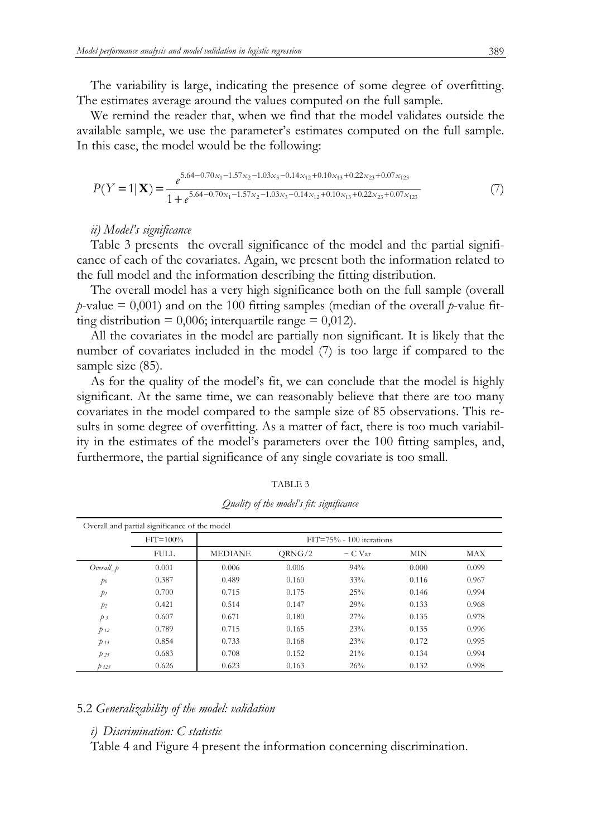The variability is large, indicating the presence of some degree of overfitting. The estimates average around the values computed on the full sample.

We remind the reader that, when we find that the model validates outside the available sample, we use the parameter's estimates computed on the full sample. In this case, the model would be the following:

$$
P(Y=1|\mathbf{X}) = \frac{e^{5.64 - 0.70x_1 - 1.57x_2 - 1.03x_3 - 0.14x_{12} + 0.10x_{13} + 0.22x_{23} + 0.07x_{123}}}{1 + e^{5.64 - 0.70x_1 - 1.57x_2 - 1.03x_3 - 0.14x_{12} + 0.10x_{13} + 0.22x_{23} + 0.07x_{123}}} \tag{7}
$$

# *ii) Model's significance*

Table 3 presents the overall significance of the model and the partial significance of each of the covariates. Again, we present both the information related to the full model and the information describing the fitting distribution.

The overall model has a very high significance both on the full sample (overall *p*-value  $= 0.001$ ) and on the 100 fitting samples (median of the overall *p*-value fitting distribution =  $0,006$ ; interquartile range =  $0,012$ ).

All the covariates in the model are partially non significant. It is likely that the number of covariates included in the model (7) is too large if compared to the sample size (85).

As for the quality of the model's fit, we can conclude that the model is highly significant. At the same time, we can reasonably believe that there are too many covariates in the model compared to the sample size of 85 observations. This results in some degree of overfitting. As a matter of fact, there is too much variability in the estimates of the model's parameters over the 100 fitting samples, and, furthermore, the partial significance of any single covariate is too small.

|                | Overall and partial significance of the model |                |        |                              |            |            |
|----------------|-----------------------------------------------|----------------|--------|------------------------------|------------|------------|
|                | $FIT = 100%$                                  |                |        | $FIT = 75% - 100$ iterations |            |            |
|                | <b>FULL</b>                                   | <b>MEDIANE</b> | QRNG/2 | $\sim$ C Var                 | <b>MIN</b> | <b>MAX</b> |
| Overall_p      | 0.001                                         | 0.006          | 0.006  | 94%                          | 0.000      | 0.099      |
| p <sub>0</sub> | 0.387                                         | 0.489          | 0.160  | 33%                          | 0.116      | 0.967      |
| $p_1$          | 0.700                                         | 0.715          | 0.175  | 25%                          | 0.146      | 0.994      |
| $p_2$          | 0.421                                         | 0.514          | 0.147  | 29%                          | 0.133      | 0.968      |
| $p_3$          | 0.607                                         | 0.671          | 0.180  | 27%                          | 0.135      | 0.978      |
| $p_{12}$       | 0.789                                         | 0.715          | 0.165  | 23%                          | 0.135      | 0.996      |
| $p_{13}$       | 0.854                                         | 0.733          | 0.168  | 23%                          | 0.172      | 0.995      |
| $p_{23}$       | 0.683                                         | 0.708          | 0.152  | 21%                          | 0.134      | 0.994      |
| $p_{123}$      | 0.626                                         | 0.623          | 0.163  | 26%                          | 0.132      | 0.998      |

*Quality of the model's fit: significance* 

# 5.2 *Generalizability of the model: validation*

# *i) Discrimination: C statistic*

Table 4 and Figure 4 present the information concerning discrimination.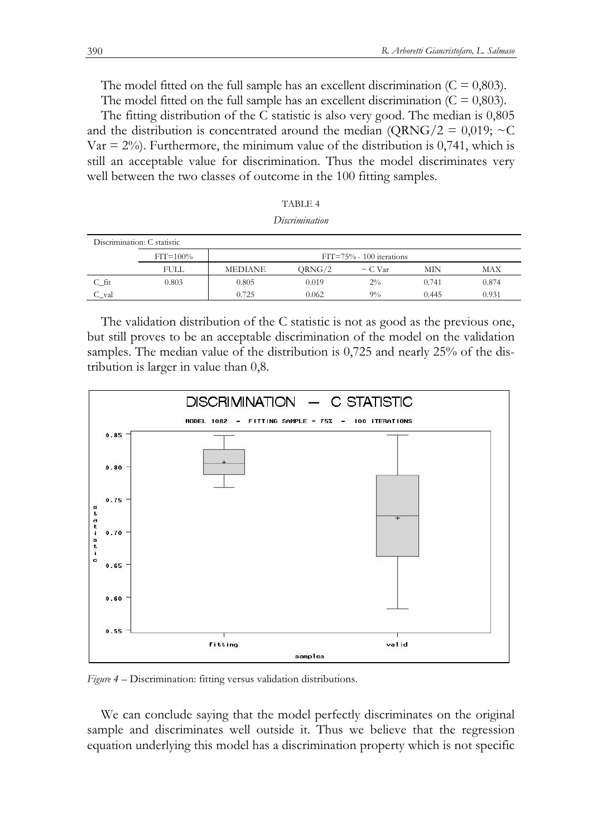The model fitted on the full sample has an excellent discrimination  $(C = 0.803)$ .

The model fitted on the full sample has an excellent discrimination  $(C = 0.803)$ .

The fitting distribution of the C statistic is also very good. The median is 0,805 and the distribution is concentrated around the median (QRNG/2 = 0,019;  $\sim$ C Var  $= 2\%$ ). Furthermore, the minimum value of the distribution is 0,741, which is still an acceptable value for discrimination. Thus the model discriminates very well between the two classes of outcome in the 100 fitting samples.

| TABLE 4        |  |
|----------------|--|
| Discrimination |  |

| Discrimination: C statistic |              |                |                              |              |       |       |  |  |  |  |  |
|-----------------------------|--------------|----------------|------------------------------|--------------|-------|-------|--|--|--|--|--|
|                             | $FIT = 100%$ |                | $FIT = 75% - 100$ iterations |              |       |       |  |  |  |  |  |
|                             | <b>FULL</b>  | <b>MEDIANE</b> | ORNG/2                       | $\sim$ C Var | MIN   | MAX   |  |  |  |  |  |
| $C$ fit                     | 0.803        | 0.805          | 0.019                        | $2\%$        | 0.741 | 0.874 |  |  |  |  |  |
| C val                       |              | 0.725          | 0.062                        | $9\%$        | 0.445 | 0.931 |  |  |  |  |  |

The validation distribution of the C statistic is not as good as the previous one, but still proves to be an acceptable discrimination of the model on the validation samples. The median value of the distribution is 0,725 and nearly 25% of the distribution is larger in value than 0,8.



*Figure 4 –* Discrimination: fitting versus validation distributions.

We can conclude saying that the model perfectly discriminates on the original sample and discriminates well outside it. Thus we believe that the regression equation underlying this model has a discrimination property which is not specific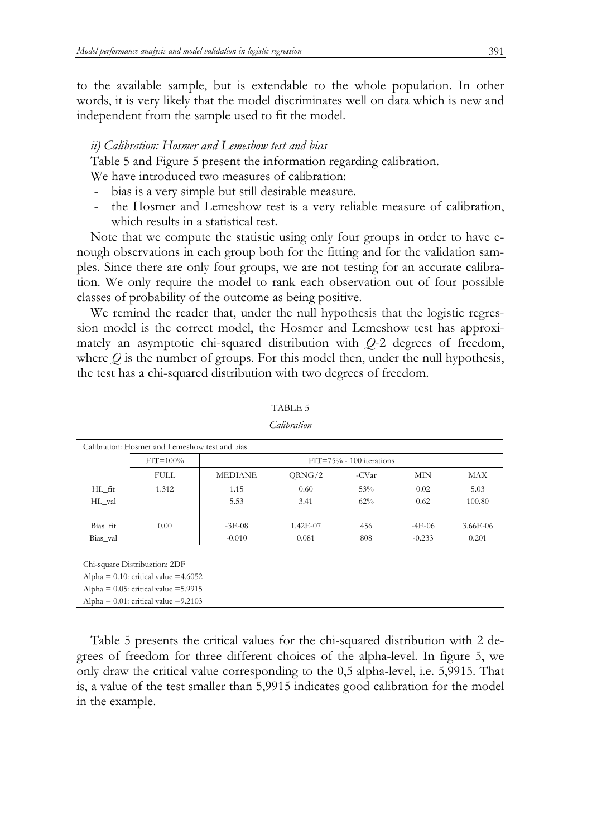to the available sample, but is extendable to the whole population. In other words, it is very likely that the model discriminates well on data which is new and independent from the sample used to fit the model.

### *ii) Calibration: Hosmer and Lemeshow test and bias*

Table 5 and Figure 5 present the information regarding calibration.

We have introduced two measures of calibration:

- bias is a very simple but still desirable measure.
- the Hosmer and Lemeshow test is a very reliable measure of calibration, which results in a statistical test.

Note that we compute the statistic using only four groups in order to have enough observations in each group both for the fitting and for the validation samples. Since there are only four groups, we are not testing for an accurate calibration. We only require the model to rank each observation out of four possible classes of probability of the outcome as being positive.

We remind the reader that, under the null hypothesis that the logistic regression model is the correct model, the Hosmer and Lemeshow test has approximately an asymptotic chi-squared distribution with *Q*-2 degrees of freedom, where  $Q$  is the number of groups. For this model then, under the null hypothesis, the test has a chi-squared distribution with two degrees of freedom.

|          | $FIT = 100%$ |                |          | $FIT = 75% - 100$ iterations |            |          |
|----------|--------------|----------------|----------|------------------------------|------------|----------|
|          | <b>FULL</b>  | <b>MEDIANE</b> | QRNG/2   | -CVar                        | <b>MIN</b> | MAX      |
| HL fit   | 1.312        | 1.15           | 0.60     | 53%                          | 0.02       | 5.03     |
| HL val   |              | 5.53           | 3.41     | 62%                          | 0.62       | 100.80   |
| Bias fit | 0.00         | $-3E-08$       | 1.42E-07 | 456                          | $-4E-06$   | 3.66E-06 |
| Bias_val |              | $-0.010$       | 0.081    | 808                          | $-0.233$   | 0.201    |

# TABLE 5

*Calibration*

Alpha =  $0.10$ : critical value = 4.6052

Alpha =  $0.05$ : critical value =  $5.9915$ 

Alpha =  $0.01$ : critical value =  $9.2103$ 

Table 5 presents the critical values for the chi-squared distribution with 2 degrees of freedom for three different choices of the alpha-level. In figure 5, we only draw the critical value corresponding to the 0,5 alpha-level, i.e. 5,9915. That is, a value of the test smaller than 5,9915 indicates good calibration for the model in the example.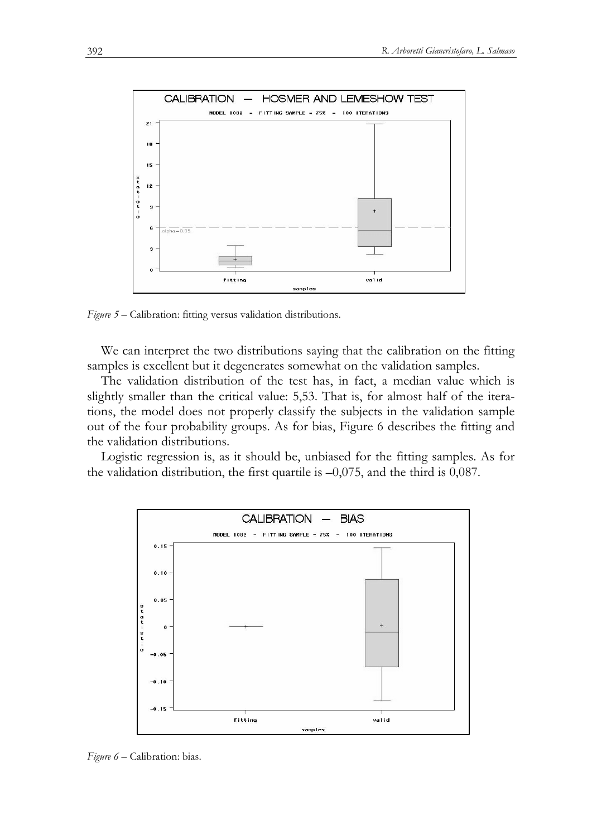

*Figure 5* – Calibration: fitting versus validation distributions.

We can interpret the two distributions saying that the calibration on the fitting samples is excellent but it degenerates somewhat on the validation samples.

The validation distribution of the test has, in fact, a median value which is slightly smaller than the critical value: 5,53. That is, for almost half of the iterations, the model does not properly classify the subjects in the validation sample out of the four probability groups. As for bias, Figure 6 describes the fitting and the validation distributions.

Logistic regression is, as it should be, unbiased for the fitting samples. As for the validation distribution, the first quartile is  $-0.075$ , and the third is 0,087.



*Figure 6* – Calibration: bias.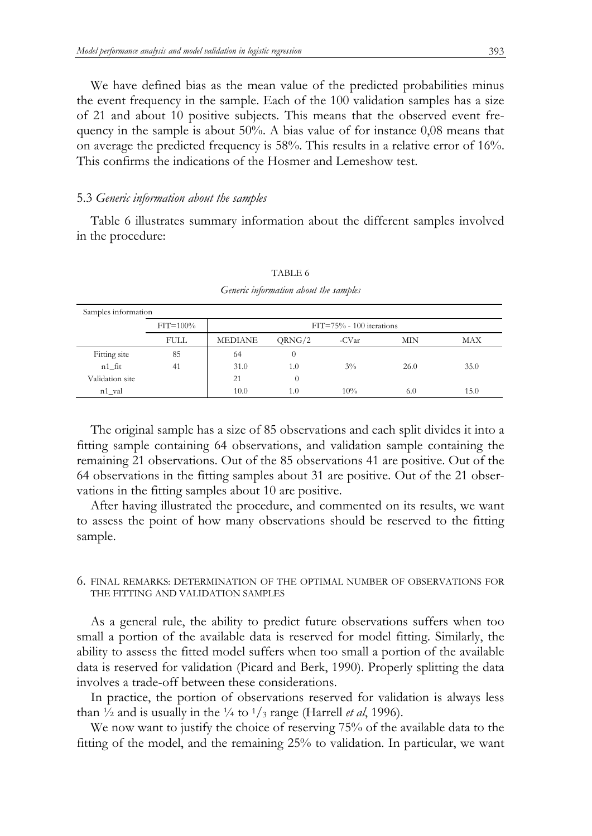We have defined bias as the mean value of the predicted probabilities minus the event frequency in the sample. Each of the 100 validation samples has a size of 21 and about 10 positive subjects. This means that the observed event frequency in the sample is about 50%. A bias value of for instance 0,08 means that on average the predicted frequency is 58%. This results in a relative error of 16%. This confirms the indications of the Hosmer and Lemeshow test.

### 5.3 *Generic information about the samples*

Table 6 illustrates summary information about the different samples involved in the procedure:

| Samples information |              |                |                              |       |      |      |  |  |  |  |  |
|---------------------|--------------|----------------|------------------------------|-------|------|------|--|--|--|--|--|
|                     | $FIT = 100%$ |                | $FIT = 75% - 100$ iterations |       |      |      |  |  |  |  |  |
|                     | <b>FULL</b>  | <b>MEDIANE</b> | QRNG/2                       | -CVar | MIN  | MAX  |  |  |  |  |  |
| Fitting site        | 85           | 64             | 0                            |       |      |      |  |  |  |  |  |
| $n1$ fit            | 41           | 31.0           | 1.0                          | $3\%$ | 26.0 | 35.0 |  |  |  |  |  |
| Validation site     |              | 21             | 0                            |       |      |      |  |  |  |  |  |
| n1_val              |              | 10.0           | 1.0                          | 10%   | 6.0  | 15.0 |  |  |  |  |  |

TABLE 6 *Generic information about the samples* 

The original sample has a size of 85 observations and each split divides it into a fitting sample containing 64 observations, and validation sample containing the remaining 21 observations. Out of the 85 observations 41 are positive. Out of the 64 observations in the fitting samples about 31 are positive. Out of the 21 observations in the fitting samples about 10 are positive.

After having illustrated the procedure, and commented on its results, we want to assess the point of how many observations should be reserved to the fitting sample.

# 6. FINAL REMARKS: DETERMINATION OF THE OPTIMAL NUMBER OF OBSERVATIONS FOR THE FITTING AND VALIDATION SAMPLES

As a general rule, the ability to predict future observations suffers when too small a portion of the available data is reserved for model fitting. Similarly, the ability to assess the fitted model suffers when too small a portion of the available data is reserved for validation (Picard and Berk, 1990). Properly splitting the data involves a trade-off between these considerations.

In practice, the portion of observations reserved for validation is always less than  $\frac{1}{2}$  and is usually in the  $\frac{1}{4}$  to  $\frac{1}{3}$  range (Harrell *et al*, 1996).

We now want to justify the choice of reserving 75% of the available data to the fitting of the model, and the remaining 25% to validation. In particular, we want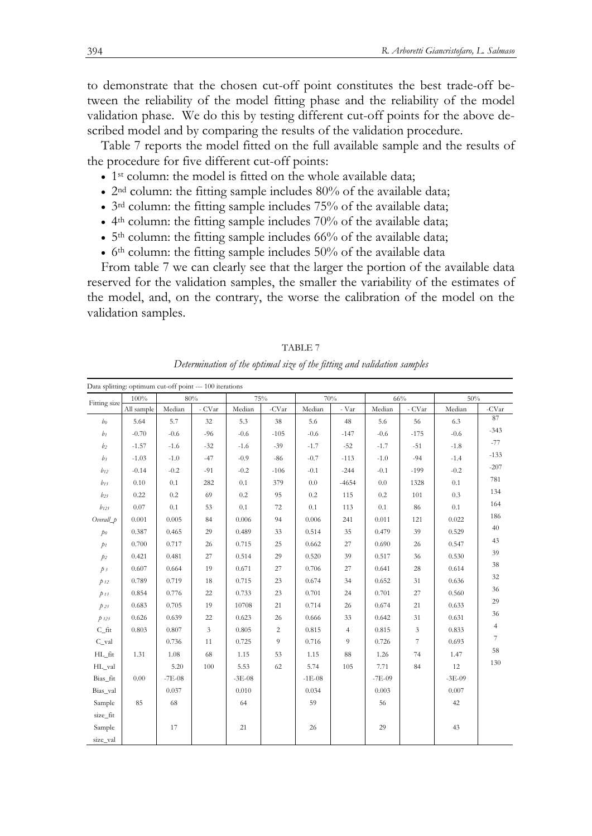to demonstrate that the chosen cut-off point constitutes the best trade-off between the reliability of the model fitting phase and the reliability of the model validation phase. We do this by testing different cut-off points for the above described model and by comparing the results of the validation procedure.

Table 7 reports the model fitted on the full available sample and the results of the procedure for five different cut-off points:

- 1<sup>st</sup> column: the model is fitted on the whole available data;
- $2<sup>nd</sup>$  column: the fitting sample includes 80% of the available data;
- 3<sup>rd</sup> column: the fitting sample includes 75% of the available data;
- $\bullet$  4<sup>th</sup> column: the fitting sample includes 70% of the available data;
- $5<sup>th</sup>$  column: the fitting sample includes 66% of the available data;
- $6<sup>th</sup>$  column: the fitting sample includes 50% of the available data

From table 7 we can clearly see that the larger the portion of the available data reserved for the validation samples, the smaller the variability of the estimates of the model, and, on the contrary, the worse the calibration of the model on the validation samples.

|                  | Data splitting: optimum cut-off point --- 100 iterations |          |                   |          |                |          |                |          |                |          |                |
|------------------|----------------------------------------------------------|----------|-------------------|----------|----------------|----------|----------------|----------|----------------|----------|----------------|
| Fitting size     | 100%                                                     |          | 80%               |          | 75%            |          | 70%            |          | 66%            | 50%      |                |
|                  | All sample                                               | Median   | - $\mathrm{CVar}$ | Median   | -CVar          | Median   | - Var          | Median   | - CVar         | Median   | -CV $ar$       |
| b <sub>0</sub>   | 5.64                                                     | 5.7      | 32                | 5.3      | 38             | 5.6      | 48             | 5.6      | 56             | 6.3      | 87             |
| $b_1$            | $-0.70$                                                  | $-0.6$   | $-96$             | $-0.6$   | $-105$         | $-0.6$   | $-147$         | $-0.6$   | $-175$         | $-0.6$   | $-343$         |
| b <sub>2</sub>   | $-1.57$                                                  | $-1.6$   | $-32$             | $-1.6$   | $-39$          | $-1.7$   | $-52$          | $-1.7$   | $-51$          | $-1.8$   | $-77$          |
| $b_3$            | $-1.03$                                                  | $-1.0$   | $-47$             | $-0.9$   | $-86$          | $-0.7$   | $-113$         | $-1.0$   | $-94$          | $-1.4$   | $-133$         |
| $b_{12}$         | $-0.14$                                                  | $-0.2$   | $-91$             | $-0.2$   | $-106$         | $-0.1$   | $-244$         | $-0.1$   | $-199$         | $-0.2$   | $-207$         |
| $b_{13}$         | 0.10                                                     | 0.1      | 282               | 0.1      | 379            | 0.0      | $-4654$        | 0.0      | 1328           | 0.1      | 781            |
| $b_{23}$         | 0.22                                                     | 0.2      | 69                | 0.2      | 95             | 0.2      | 115            | 0.2      | 101            | 0.3      | 134            |
| $b_{123}$        | 0.07                                                     | 0.1      | 53                | 0.1      | 72             | $0.1\,$  | 113            | 0.1      | 86             | $0.1\,$  | 164            |
| $Overall_p$      | 0.001                                                    | 0.005    | 84                | 0.006    | 94             | 0.006    | 241            | 0.011    | 121            | 0.022    | 186            |
| p <sub>0</sub>   | 0.387                                                    | 0.465    | 29                | 0.489    | 33             | 0.514    | 35             | 0.479    | 39             | 0.529    | 40             |
| $p_1$            | 0.700                                                    | 0.717    | 26                | 0.715    | 25             | 0.662    | 27             | 0.690    | 26             | 0.547    | 43             |
| p <sub>2</sub>   | 0.421                                                    | 0.481    | 27                | 0.514    | 29             | 0.520    | 39             | 0.517    | 36             | 0.530    | 39             |
| $\tilde{p}$ 3    | 0.607                                                    | 0.664    | 19                | 0.671    | 27             | 0.706    | 27             | 0.641    | 28             | 0.614    | 38             |
| $p_{12}$         | 0.789                                                    | 0.719    | 18                | 0.715    | 23             | 0.674    | 34             | 0.652    | 31             | 0.636    | 32             |
| $p_{13}$         | 0.854                                                    | 0.776    | 22                | 0.733    | 23             | 0.701    | 24             | 0.701    | 27             | 0.560    | 36             |
| $\rlap{/}p$ 23   | 0.683                                                    | 0.705    | 19                | 10708    | 21             | 0.714    | 26             | 0.674    | 21             | 0.633    | 29             |
| $p_{123}$        | 0.626                                                    | 0.639    | 22                | 0.623    | 26             | 0.666    | 33             | 0.642    | 31             | 0.631    | 36             |
| $C_{\text{fit}}$ | 0.803                                                    | 0.807    | $\mathfrak{Z}$    | 0.805    | $\sqrt{2}$     | 0.815    | $\overline{4}$ | 0.815    | $\mathfrak{Z}$ | 0.833    | $\overline{4}$ |
| C_val            |                                                          | 0.736    | 11                | 0.725    | $\overline{9}$ | 0.716    | 9              | 0.726    | 7              | 0.693    | $\overline{7}$ |
| HL_fit           | 1.31                                                     | 1.08     | 68                | 1.15     | 53             | 1.15     | 88             | 1.26     | 74             | 1.47     | 58             |
| HL_val           |                                                          | 5.20     | 100               | 5.53     | 62             | 5.74     | 105            | 7.71     | 84             | 12       | 130            |
| Bias_fit         | 0.00                                                     | $-7E-08$ |                   | $-3E-08$ |                | $-1E-08$ |                | $-7E-09$ |                | $-3E-09$ |                |
| Bias_val         |                                                          | 0.037    |                   | 0.010    |                | 0.034    |                | 0.003    |                | 0.007    |                |
| Sample           | 85                                                       | 68       |                   | 64       |                | 59       |                | 56       |                | 42       |                |
| size_fit         |                                                          |          |                   |          |                |          |                |          |                |          |                |
| Sample           |                                                          | 17       |                   | 21       |                | 26       |                | 29       |                | 43       |                |
| size_val         |                                                          |          |                   |          |                |          |                |          |                |          |                |

TABLE 7 *Determination of the optimal size of the fitting and validation samples*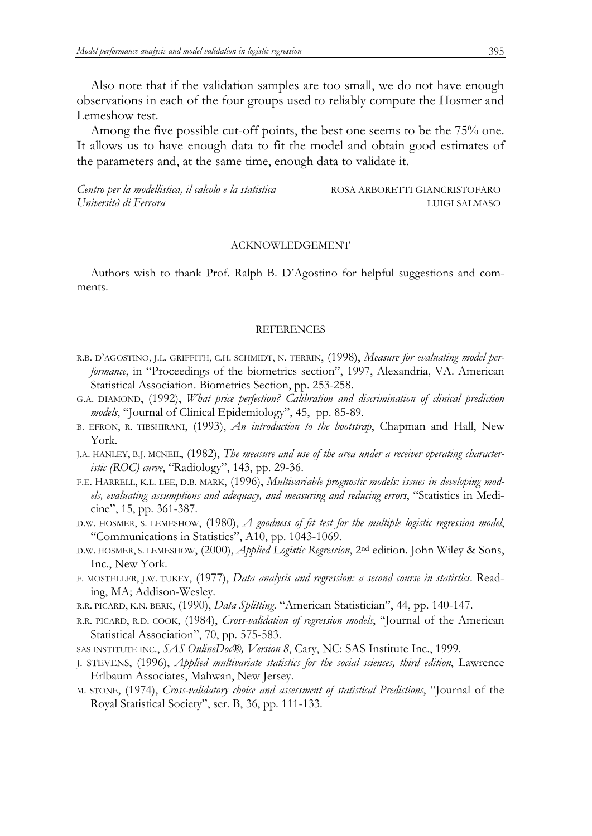Also note that if the validation samples are too small, we do not have enough observations in each of the four groups used to reliably compute the Hosmer and Lemeshow test.

Among the five possible cut-off points, the best one seems to be the 75% one. It allows us to have enough data to fit the model and obtain good estimates of the parameters and, at the same time, enough data to validate it.

Centro per la modellistica, il calcolo e la statistica ROSA ARBORETTI GIANCRISTOFARO *Università di Ferrara* LUIGI SALMASO

### ACKNOWLEDGEMENT

Authors wish to thank Prof. Ralph B. D'Agostino for helpful suggestions and comments.

#### **REFERENCES**

- R.B. D'AGOSTINO, J.L. GRIFFITH, C.H. SCHMIDT, N. TERRIN, (1998), *Measure for evaluating model performance*, in "Proceedings of the biometrics section", 1997, Alexandria, VA. American Statistical Association. Biometrics Section, pp. 253-258.
- G.A. DIAMOND, (1992), *What price perfection? Calibration and discrimination of clinical prediction models*, "Journal of Clinical Epidemiology", 45, pp. 85-89.
- B. EFRON, R. TIBSHIRANI, (1993), *An introduction to the bootstrap*, Chapman and Hall, New York.
- J.A. HANLEY, B.J. MCNEIL, (1982), *The measure and use of the area under a receiver operating characteristic (ROC) curve*, "Radiology", 143, pp. 29-36.
- F.E. HARRELL, K.L. LEE, D.B. MARK, (1996), *Multivariable prognostic models: issues in developing models, evaluating assumptions and adequacy, and measuring and reducing errors*, "Statistics in Medicine", 15, pp. 361-387.
- D.W. HOSMER, S. LEMESHOW, (1980), *A goodness of fit test for the multiple logistic regression model*, "Communications in Statistics", A10, pp. 1043-1069.
- D.W. HOSMER, S. LEMESHOW, (2000), *Applied Logistic Regression*, 2nd edition. John Wiley & Sons, Inc., New York.
- F. MOSTELLER, J.W. TUKEY, (1977), *Data analysis and regression: a second course in statistics*. Reading, MA; Addison-Wesley.
- R.R. PICARD, K.N. BERK, (1990), *Data Splitting*. "American Statistician", 44, pp. 140-147.
- R.R. PICARD, R.D. COOK, (1984), *Cross-validation of regression models*, "Journal of the American Statistical Association", 70, pp. 575-583.
- SAS INSTITUTE INC., *SAS OnlineDoc®, Version 8*, Cary, NC: SAS Institute Inc., 1999.
- J. STEVENS, (1996), *Applied multivariate statistics for the social sciences, third edition*, Lawrence Erlbaum Associates, Mahwan, New Jersey.
- M. STONE, (1974), *Cross-validatory choice and assessment of statistical Predictions*, "Journal of the Royal Statistical Society", ser. B, 36, pp. 111-133.